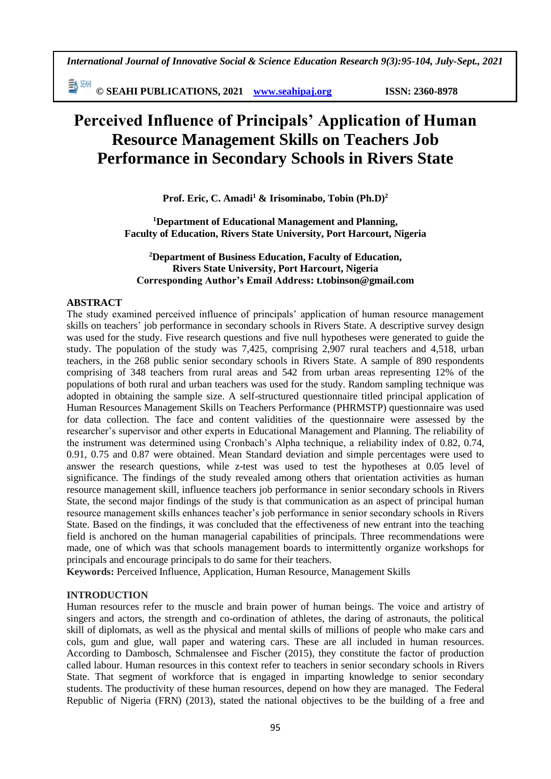*International Journal of Innovative Social & Science Education Research 9(3):95-104, July-Sept., 2021*

**© SEAHI PUBLICATIONS, 2021 [www.seahipaj.org](http://www.seahipaj.org/) ISSN: 2360-8978**

# **Perceived Influence of Principals' Application of Human Resource Management Skills on Teachers Job Performance in Secondary Schools in Rivers State**

**Prof. Eric, C. Amadi<sup>1</sup> & Irisominabo, Tobin (Ph.D)<sup>2</sup>**

**<sup>1</sup>Department of Educational Management and Planning, Faculty of Education, Rivers State University, Port Harcourt, Nigeria**

# **<sup>2</sup>Department of Business Education, Faculty of Education, Rivers State University, Port Harcourt, Nigeria Corresponding Author's Email Address: t.tobinson@gmail.com**

# **ABSTRACT**

The study examined perceived influence of principals' application of human resource management skills on teachers' job performance in secondary schools in Rivers State. A descriptive survey design was used for the study. Five research questions and five null hypotheses were generated to guide the study. The population of the study was 7,425, comprising 2,907 rural teachers and 4,518, urban teachers, in the 268 public senior secondary schools in Rivers State. A sample of 890 respondents comprising of 348 teachers from rural areas and 542 from urban areas representing 12% of the populations of both rural and urban teachers was used for the study. Random sampling technique was adopted in obtaining the sample size. A self-structured questionnaire titled principal application of Human Resources Management Skills on Teachers Performance (PHRMSTP) questionnaire was used for data collection. The face and content validities of the questionnaire were assessed by the researcher's supervisor and other experts in Educational Management and Planning. The reliability of the instrument was determined using Cronbach's Alpha technique, a reliability index of 0.82, 0.74, 0.91, 0.75 and 0.87 were obtained. Mean Standard deviation and simple percentages were used to answer the research questions, while z-test was used to test the hypotheses at 0.05 level of significance. The findings of the study revealed among others that orientation activities as human resource management skill, influence teachers job performance in senior secondary schools in Rivers State, the second major findings of the study is that communication as an aspect of principal human resource management skills enhances teacher's job performance in senior secondary schools in Rivers State. Based on the findings, it was concluded that the effectiveness of new entrant into the teaching field is anchored on the human managerial capabilities of principals. Three recommendations were made, one of which was that schools management boards to intermittently organize workshops for principals and encourage principals to do same for their teachers.

**Keywords:** Perceived Influence, Application, Human Resource, Management Skills

#### **INTRODUCTION**

Human resources refer to the muscle and brain power of human beings. The voice and artistry of singers and actors, the strength and co-ordination of athletes, the daring of astronauts, the political skill of diplomats, as well as the physical and mental skills of millions of people who make cars and cols, gum and glue, wall paper and watering cars. These are all included in human resources. According to Dambosch, Schmalensee and Fischer (2015), they constitute the factor of production called labour. Human resources in this context refer to teachers in senior secondary schools in Rivers State. That segment of workforce that is engaged in imparting knowledge to senior secondary students. The productivity of these human resources, depend on how they are managed. The Federal Republic of Nigeria (FRN) (2013), stated the national objectives to be the building of a free and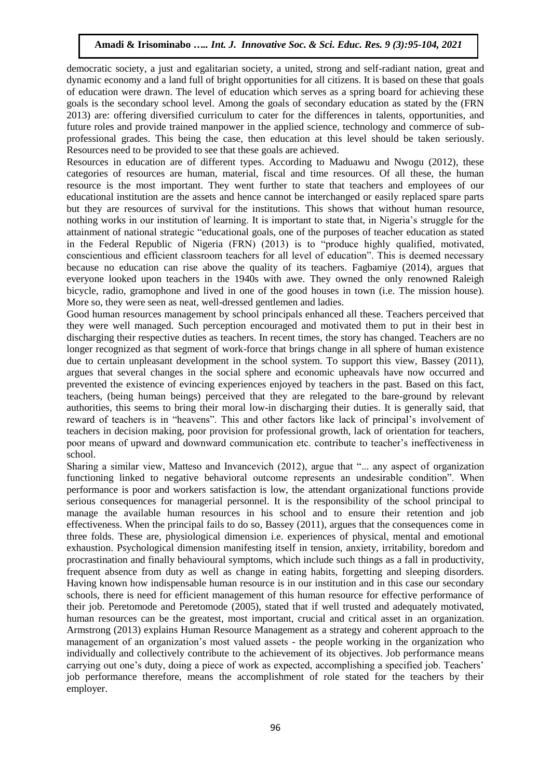democratic society, a just and egalitarian society, a united, strong and self-radiant nation, great and dynamic economy and a land full of bright opportunities for all citizens. It is based on these that goals of education were drawn. The level of education which serves as a spring board for achieving these goals is the secondary school level. Among the goals of secondary education as stated by the (FRN 2013) are: offering diversified curriculum to cater for the differences in talents, opportunities, and future roles and provide trained manpower in the applied science, technology and commerce of subprofessional grades. This being the case, then education at this level should be taken seriously. Resources need to be provided to see that these goals are achieved.

Resources in education are of different types. According to Maduawu and Nwogu (2012), these categories of resources are human, material, fiscal and time resources. Of all these, the human resource is the most important. They went further to state that teachers and employees of our educational institution are the assets and hence cannot be interchanged or easily replaced spare parts but they are resources of survival for the institutions. This shows that without human resource, nothing works in our institution of learning. It is important to state that, in Nigeria's struggle for the attainment of national strategic "educational goals, one of the purposes of teacher education as stated in the Federal Republic of Nigeria (FRN) (2013) is to "produce highly qualified, motivated, conscientious and efficient classroom teachers for all level of education". This is deemed necessary because no education can rise above the quality of its teachers. Fagbamiye (2014), argues that everyone looked upon teachers in the 1940s with awe. They owned the only renowned Raleigh bicycle, radio, gramophone and lived in one of the good houses in town (i.e. The mission house). More so, they were seen as neat, well-dressed gentlemen and ladies.

Good human resources management by school principals enhanced all these. Teachers perceived that they were well managed. Such perception encouraged and motivated them to put in their best in discharging their respective duties as teachers. In recent times, the story has changed. Teachers are no longer recognized as that segment of work-force that brings change in all sphere of human existence due to certain unpleasant development in the school system. To support this view, Bassey (2011), argues that several changes in the social sphere and economic upheavals have now occurred and prevented the existence of evincing experiences enjoyed by teachers in the past. Based on this fact, teachers, (being human beings) perceived that they are relegated to the bare-ground by relevant authorities, this seems to bring their moral low-in discharging their duties. It is generally said, that reward of teachers is in "heavens". This and other factors like lack of principal's involvement of teachers in decision making, poor provision for professional growth, lack of orientation for teachers, poor means of upward and downward communication etc. contribute to teacher's ineffectiveness in school.

Sharing a similar view, Matteso and Invancevich (2012), argue that "... any aspect of organization functioning linked to negative behavioral outcome represents an undesirable condition". When performance is poor and workers satisfaction is low, the attendant organizational functions provide serious consequences for managerial personnel. It is the responsibility of the school principal to manage the available human resources in his school and to ensure their retention and job effectiveness. When the principal fails to do so, Bassey (2011), argues that the consequences come in three folds. These are, physiological dimension i.e. experiences of physical, mental and emotional exhaustion. Psychological dimension manifesting itself in tension, anxiety, irritability, boredom and procrastination and finally behavioural symptoms, which include such things as a fall in productivity, frequent absence from duty as well as change in eating habits, forgetting and sleeping disorders. Having known how indispensable human resource is in our institution and in this case our secondary schools, there is need for efficient management of this human resource for effective performance of their job. Peretomode and Peretomode (2005), stated that if well trusted and adequately motivated, human resources can be the greatest, most important, crucial and critical asset in an organization. Armstrong (2013) explains Human Resource Management as a strategy and coherent approach to the management of an organization's most valued assets - the people working in the organization who individually and collectively contribute to the achievement of its objectives. Job performance means carrying out one's duty, doing a piece of work as expected, accomplishing a specified job. Teachers' job performance therefore, means the accomplishment of role stated for the teachers by their employer.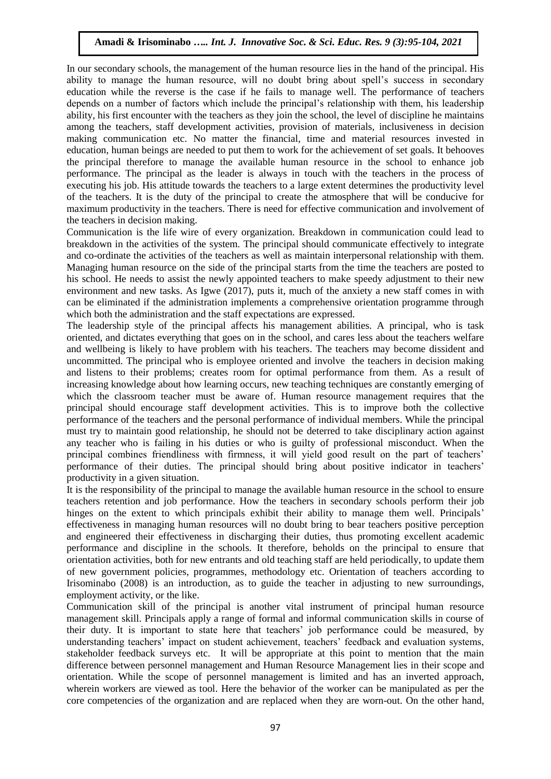In our secondary schools, the management of the human resource lies in the hand of the principal. His ability to manage the human resource, will no doubt bring about spell's success in secondary education while the reverse is the case if he fails to manage well. The performance of teachers depends on a number of factors which include the principal's relationship with them, his leadership ability, his first encounter with the teachers as they join the school, the level of discipline he maintains among the teachers, staff development activities, provision of materials, inclusiveness in decision making communication etc. No matter the financial, time and material resources invested in education, human beings are needed to put them to work for the achievement of set goals. It behooves the principal therefore to manage the available human resource in the school to enhance job performance. The principal as the leader is always in touch with the teachers in the process of executing his job. His attitude towards the teachers to a large extent determines the productivity level of the teachers. It is the duty of the principal to create the atmosphere that will be conducive for maximum productivity in the teachers. There is need for effective communication and involvement of the teachers in decision making.

Communication is the life wire of every organization. Breakdown in communication could lead to breakdown in the activities of the system. The principal should communicate effectively to integrate and co-ordinate the activities of the teachers as well as maintain interpersonal relationship with them. Managing human resource on the side of the principal starts from the time the teachers are posted to his school. He needs to assist the newly appointed teachers to make speedy adjustment to their new environment and new tasks. As Igwe (2017), puts it, much of the anxiety a new staff comes in with can be eliminated if the administration implements a comprehensive orientation programme through which both the administration and the staff expectations are expressed.

The leadership style of the principal affects his management abilities. A principal, who is task oriented, and dictates everything that goes on in the school, and cares less about the teachers welfare and wellbeing is likely to have problem with his teachers. The teachers may become dissident and uncommitted. The principal who is employee oriented and involve the teachers in decision making and listens to their problems; creates room for optimal performance from them. As a result of increasing knowledge about how learning occurs, new teaching techniques are constantly emerging of which the classroom teacher must be aware of. Human resource management requires that the principal should encourage staff development activities. This is to improve both the collective performance of the teachers and the personal performance of individual members. While the principal must try to maintain good relationship, he should not be deterred to take disciplinary action against any teacher who is failing in his duties or who is guilty of professional misconduct. When the principal combines friendliness with firmness, it will yield good result on the part of teachers' performance of their duties. The principal should bring about positive indicator in teachers' productivity in a given situation.

It is the responsibility of the principal to manage the available human resource in the school to ensure teachers retention and job performance. How the teachers in secondary schools perform their job hinges on the extent to which principals exhibit their ability to manage them well. Principals' effectiveness in managing human resources will no doubt bring to bear teachers positive perception and engineered their effectiveness in discharging their duties, thus promoting excellent academic performance and discipline in the schools. It therefore, beholds on the principal to ensure that orientation activities, both for new entrants and old teaching staff are held periodically, to update them of new government policies, programmes, methodology etc. Orientation of teachers according to Irisominabo (2008) is an introduction, as to guide the teacher in adjusting to new surroundings, employment activity, or the like.

Communication skill of the principal is another vital instrument of principal human resource management skill. Principals apply a range of formal and informal communication skills in course of their duty. It is important to state here that teachers' job performance could be measured, by understanding teachers' impact on student achievement, teachers' feedback and evaluation systems, stakeholder feedback surveys etc. It will be appropriate at this point to mention that the main difference between personnel management and Human Resource Management lies in their scope and orientation. While the scope of personnel management is limited and has an inverted approach, wherein workers are viewed as tool. Here the behavior of the worker can be manipulated as per the core competencies of the organization and are replaced when they are worn-out. On the other hand,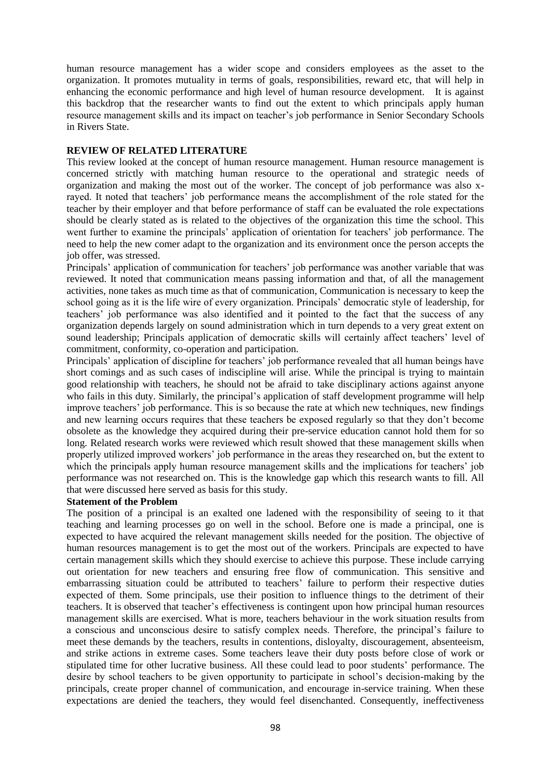human resource management has a wider scope and considers employees as the asset to the organization. It promotes mutuality in terms of goals, responsibilities, reward etc, that will help in enhancing the economic performance and high level of human resource development. It is against this backdrop that the researcher wants to find out the extent to which principals apply human resource management skills and its impact on teacher's job performance in Senior Secondary Schools in Rivers State.

#### **REVIEW OF RELATED LITERATURE**

This review looked at the concept of human resource management. Human resource management is concerned strictly with matching human resource to the operational and strategic needs of organization and making the most out of the worker. The concept of job performance was also xrayed. It noted that teachers' job performance means the accomplishment of the role stated for the teacher by their employer and that before performance of staff can be evaluated the role expectations should be clearly stated as is related to the objectives of the organization this time the school. This went further to examine the principals' application of orientation for teachers' job performance. The need to help the new comer adapt to the organization and its environment once the person accepts the job offer, was stressed.

Principals' application of communication for teachers' job performance was another variable that was reviewed. It noted that communication means passing information and that, of all the management activities, none takes as much time as that of communication, Communication is necessary to keep the school going as it is the life wire of every organization. Principals' democratic style of leadership, for teachers' job performance was also identified and it pointed to the fact that the success of any organization depends largely on sound administration which in turn depends to a very great extent on sound leadership; Principals application of democratic skills will certainly affect teachers' level of commitment, conformity, co-operation and participation.

Principals' application of discipline for teachers' job performance revealed that all human beings have short comings and as such cases of indiscipline will arise. While the principal is trying to maintain good relationship with teachers, he should not be afraid to take disciplinary actions against anyone who fails in this duty. Similarly, the principal's application of staff development programme will help improve teachers' job performance. This is so because the rate at which new techniques, new findings and new learning occurs requires that these teachers be exposed regularly so that they don't become obsolete as the knowledge they acquired during their pre-service education cannot hold them for so long. Related research works were reviewed which result showed that these management skills when properly utilized improved workers' job performance in the areas they researched on, but the extent to which the principals apply human resource management skills and the implications for teachers' job performance was not researched on. This is the knowledge gap which this research wants to fill. All that were discussed here served as basis for this study.

#### **Statement of the Problem**

The position of a principal is an exalted one ladened with the responsibility of seeing to it that teaching and learning processes go on well in the school. Before one is made a principal, one is expected to have acquired the relevant management skills needed for the position. The objective of human resources management is to get the most out of the workers. Principals are expected to have certain management skills which they should exercise to achieve this purpose. These include carrying out orientation for new teachers and ensuring free flow of communication. This sensitive and embarrassing situation could be attributed to teachers' failure to perform their respective duties expected of them. Some principals, use their position to influence things to the detriment of their teachers. It is observed that teacher's effectiveness is contingent upon how principal human resources management skills are exercised. What is more, teachers behaviour in the work situation results from a conscious and unconscious desire to satisfy complex needs. Therefore, the principal's failure to meet these demands by the teachers, results in contentions, disloyalty, discouragement, absenteeism, and strike actions in extreme cases. Some teachers leave their duty posts before close of work or stipulated time for other lucrative business. All these could lead to poor students' performance. The desire by school teachers to be given opportunity to participate in school's decision-making by the principals, create proper channel of communication, and encourage in-service training. When these expectations are denied the teachers, they would feel disenchanted. Consequently, ineffectiveness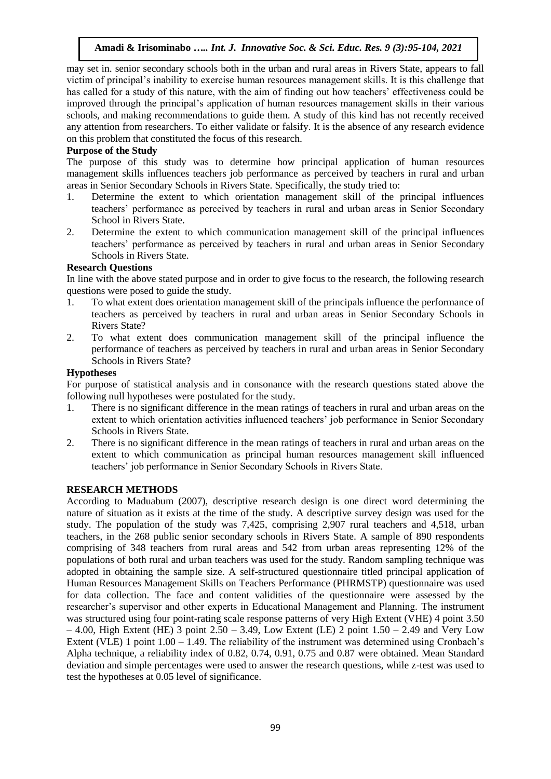may set in. senior secondary schools both in the urban and rural areas in Rivers State, appears to fall victim of principal's inability to exercise human resources management skills. It is this challenge that has called for a study of this nature, with the aim of finding out how teachers' effectiveness could be improved through the principal's application of human resources management skills in their various schools, and making recommendations to guide them. A study of this kind has not recently received any attention from researchers. To either validate or falsify. It is the absence of any research evidence on this problem that constituted the focus of this research.

# **Purpose of the Study**

The purpose of this study was to determine how principal application of human resources management skills influences teachers job performance as perceived by teachers in rural and urban areas in Senior Secondary Schools in Rivers State. Specifically, the study tried to:

- 1. Determine the extent to which orientation management skill of the principal influences teachers' performance as perceived by teachers in rural and urban areas in Senior Secondary School in Rivers State.
- 2. Determine the extent to which communication management skill of the principal influences teachers' performance as perceived by teachers in rural and urban areas in Senior Secondary Schools in Rivers State.

# **Research Questions**

In line with the above stated purpose and in order to give focus to the research, the following research questions were posed to guide the study.

- 1. To what extent does orientation management skill of the principals influence the performance of teachers as perceived by teachers in rural and urban areas in Senior Secondary Schools in Rivers State?
- 2. To what extent does communication management skill of the principal influence the performance of teachers as perceived by teachers in rural and urban areas in Senior Secondary Schools in Rivers State?

#### **Hypotheses**

For purpose of statistical analysis and in consonance with the research questions stated above the following null hypotheses were postulated for the study.

- 1. There is no significant difference in the mean ratings of teachers in rural and urban areas on the extent to which orientation activities influenced teachers' job performance in Senior Secondary Schools in Rivers State.
- 2. There is no significant difference in the mean ratings of teachers in rural and urban areas on the extent to which communication as principal human resources management skill influenced teachers' job performance in Senior Secondary Schools in Rivers State.

#### **RESEARCH METHODS**

According to Maduabum (2007), descriptive research design is one direct word determining the nature of situation as it exists at the time of the study. A descriptive survey design was used for the study. The population of the study was 7,425, comprising 2,907 rural teachers and 4,518, urban teachers, in the 268 public senior secondary schools in Rivers State. A sample of 890 respondents comprising of 348 teachers from rural areas and 542 from urban areas representing 12% of the populations of both rural and urban teachers was used for the study. Random sampling technique was adopted in obtaining the sample size. A self-structured questionnaire titled principal application of Human Resources Management Skills on Teachers Performance (PHRMSTP) questionnaire was used for data collection. The face and content validities of the questionnaire were assessed by the researcher's supervisor and other experts in Educational Management and Planning. The instrument was structured using four point-rating scale response patterns of very High Extent (VHE) 4 point 3.50  $-4.00$ , High Extent (HE) 3 point 2.50 – 3.49, Low Extent (LE) 2 point  $1.50 - 2.49$  and Very Low Extent (VLE) 1 point 1.00 – 1.49. The reliability of the instrument was determined using Cronbach's Alpha technique, a reliability index of 0.82, 0.74, 0.91, 0.75 and 0.87 were obtained. Mean Standard deviation and simple percentages were used to answer the research questions, while z-test was used to test the hypotheses at 0.05 level of significance.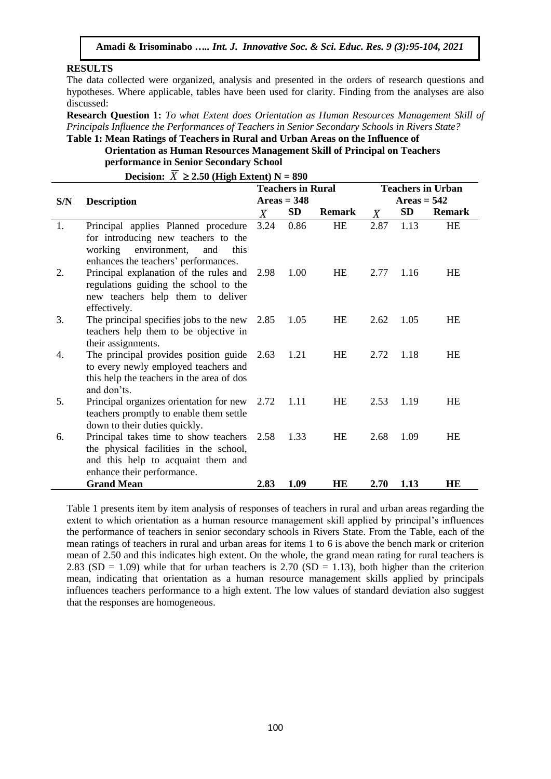#### **RESULTS**

The data collected were organized, analysis and presented in the orders of research questions and hypotheses. Where applicable, tables have been used for clarity. Finding from the analyses are also discussed:

**Research Question 1:** *To what Extent does Orientation as Human Resources Management Skill of Principals Influence the Performances of Teachers in Senior Secondary Schools in Rivers State?*

#### **Table 1: Mean Ratings of Teachers in Rural and Urban Areas on the Influence of Orientation as Human Resources Management Skill of Principal on Teachers performance in Senior Secondary School**

**Decision:**  $X \ge 2.50$  (High Extent) N = 890

|     |                                                                                                                                                              |           | <b>Teachers in Rural</b> |               | <b>Teachers in Urban</b> |      |               |  |
|-----|--------------------------------------------------------------------------------------------------------------------------------------------------------------|-----------|--------------------------|---------------|--------------------------|------|---------------|--|
| S/N | <b>Description</b>                                                                                                                                           |           | $Areas = 348$            |               | $Areas = 542$            |      |               |  |
|     |                                                                                                                                                              | $\bar{X}$ | <b>SD</b>                | <b>Remark</b> | $\bar{X}$                | SD   | <b>Remark</b> |  |
| 1.  | Principal applies Planned procedure<br>for introducing new teachers to the<br>working<br>environment,<br>and<br>this<br>enhances the teachers' performances. | 3.24      | 0.86                     | <b>HE</b>     | 2.87                     | 1.13 | <b>HE</b>     |  |
| 2.  | Principal explanation of the rules and<br>regulations guiding the school to the<br>new teachers help them to deliver<br>effectively.                         | 2.98      | 1.00                     | HE            | 2.77                     | 1.16 | HE            |  |
| 3.  | The principal specifies jobs to the new<br>teachers help them to be objective in<br>their assignments.                                                       | 2.85      | 1.05                     | HE            | 2.62                     | 1.05 | <b>HE</b>     |  |
| 4.  | The principal provides position guide<br>to every newly employed teachers and<br>this help the teachers in the area of dos<br>and don'ts.                    | 2.63      | 1.21                     | HE            | 2.72                     | 1.18 | HE            |  |
| 5.  | Principal organizes orientation for new<br>teachers promptly to enable them settle<br>down to their duties quickly.                                          | 2.72      | 1.11                     | HE            | 2.53                     | 1.19 | HE            |  |
| 6.  | Principal takes time to show teachers 2.58<br>the physical facilities in the school,<br>and this help to acquaint them and<br>enhance their performance.     |           | 1.33                     | HE            | 2.68                     | 1.09 | HE            |  |
|     | <b>Grand Mean</b>                                                                                                                                            | 2.83      | 1.09                     | HE            | 2.70                     | 1.13 | HE            |  |

Table 1 presents item by item analysis of responses of teachers in rural and urban areas regarding the extent to which orientation as a human resource management skill applied by principal's influences the performance of teachers in senior secondary schools in Rivers State. From the Table, each of the mean ratings of teachers in rural and urban areas for items 1 to 6 is above the bench mark or criterion mean of 2.50 and this indicates high extent. On the whole, the grand mean rating for rural teachers is 2.83 (SD = 1.09) while that for urban teachers is 2.70 (SD = 1.13), both higher than the criterion mean, indicating that orientation as a human resource management skills applied by principals influences teachers performance to a high extent. The low values of standard deviation also suggest that the responses are homogeneous.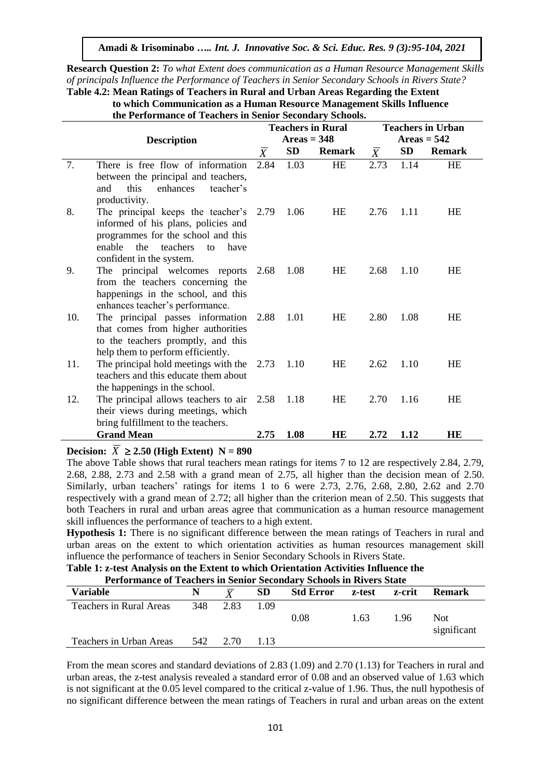**Research Question 2:** *To what Extent does communication as a Human Resource Management Skills of principals Influence the Performance of Teachers in Senior Secondary Schools in Rivers State?*

**Table 4.2: Mean Ratings of Teachers in Rural and Urban Areas Regarding the Extent to which Communication as a Human Resource Management Skills Influence**

| to which communication as a fruman resource management skins filling |
|----------------------------------------------------------------------|
| the Performance of Teachers in Senior Secondary Schools.             |

|     |                                                                         | <b>Teachers in Rural</b> |               |               | <b>Teachers in Urban</b> |               |               |  |
|-----|-------------------------------------------------------------------------|--------------------------|---------------|---------------|--------------------------|---------------|---------------|--|
|     | <b>Description</b>                                                      |                          | Areas = $348$ |               |                          | $Areas = 542$ |               |  |
|     |                                                                         | $\bar{X}$                | SD            | <b>Remark</b> | $\bar{X}$                | <b>SD</b>     | <b>Remark</b> |  |
| 7.  | There is free flow of information                                       | 2.84                     | 1.03          | HE            | 2.73                     | 1.14          | <b>HE</b>     |  |
|     | between the principal and teachers,                                     |                          |               |               |                          |               |               |  |
|     | this<br>enhances<br>teacher's<br>and                                    |                          |               |               |                          |               |               |  |
|     | productivity.                                                           |                          |               |               |                          |               |               |  |
| 8.  | The principal keeps the teacher's 2.79                                  |                          | 1.06          | HE            | 2.76                     | 1.11          | HE            |  |
|     | informed of his plans, policies and                                     |                          |               |               |                          |               |               |  |
|     | programmes for the school and this                                      |                          |               |               |                          |               |               |  |
|     | enable<br>the<br>teachers<br>have<br>to                                 |                          |               |               |                          |               |               |  |
| 9.  | confident in the system.                                                |                          | 1.08          | HE            | 2.68                     | 1.10          | HE            |  |
|     | The principal welcomes reports 2.68<br>from the teachers concerning the |                          |               |               |                          |               |               |  |
|     | happenings in the school, and this                                      |                          |               |               |                          |               |               |  |
|     | enhances teacher's performance.                                         |                          |               |               |                          |               |               |  |
| 10. | The principal passes information                                        | 2.88                     | 1.01          | HE            | 2.80                     | 1.08          | HE            |  |
|     | that comes from higher authorities                                      |                          |               |               |                          |               |               |  |
|     | to the teachers promptly, and this                                      |                          |               |               |                          |               |               |  |
|     | help them to perform efficiently.                                       |                          |               |               |                          |               |               |  |
| 11. | The principal hold meetings with the $2.73$                             |                          | 1.10          | HE            | 2.62                     | 1.10          | <b>HE</b>     |  |
|     | teachers and this educate them about                                    |                          |               |               |                          |               |               |  |
|     | the happenings in the school.                                           |                          |               |               |                          |               |               |  |
| 12. | The principal allows teachers to air $2.58$                             |                          | 1.18          | HE            | 2.70                     | 1.16          | <b>HE</b>     |  |
|     | their views during meetings, which                                      |                          |               |               |                          |               |               |  |
|     | bring fulfillment to the teachers.                                      |                          |               |               |                          |               |               |  |
|     | <b>Grand Mean</b>                                                       | 2.75                     | 1.08          | <b>HE</b>     | 2.72                     | 1.12          | <b>HE</b>     |  |

# **Decision:**  $X \ge 2.50$  (High Extent)  $N = 890$

The above Table shows that rural teachers mean ratings for items 7 to 12 are respectively 2.84, 2.79, 2.68, 2.88, 2.73 and 2.58 with a grand mean of 2.75, all higher than the decision mean of 2.50. Similarly, urban teachers' ratings for items 1 to 6 were 2.73, 2.76, 2.68, 2.80, 2.62 and 2.70 respectively with a grand mean of 2.72; all higher than the criterion mean of 2.50. This suggests that both Teachers in rural and urban areas agree that communication as a human resource management skill influences the performance of teachers to a high extent.

**Hypothesis 1:** There is no significant difference between the mean ratings of Teachers in rural and urban areas on the extent to which orientation activities as human resources management skill influence the performance of teachers in Senior Secondary Schools in Rivers State.

| <b>Table 1: Z-test Analysis on the Extent to which Offentation Activities influence the</b> |     |          |      |                  |      |        |                     |  |  |
|---------------------------------------------------------------------------------------------|-----|----------|------|------------------|------|--------|---------------------|--|--|
| Performance of Teachers in Senior Secondary Schools in Rivers State                         |     |          |      |                  |      |        |                     |  |  |
| <b>Variable</b>                                                                             | N.  |          | SD.  | Std Error z-test |      | z-crit | <b>Remark</b>       |  |  |
| Teachers in Rural Areas                                                                     | 348 | 2.83     | 1.09 |                  |      |        |                     |  |  |
|                                                                                             |     |          |      | 0.08             | 1.63 | 1.96   | Not.<br>significant |  |  |
| Teachers in Urban Areas                                                                     |     | 542 2.70 | 113  |                  |      |        |                     |  |  |

# **Table 1: z-test Analysis on the Extent to which Orientation Activities Influence the**

From the mean scores and standard deviations of 2.83 (1.09) and 2.70 (1.13) for Teachers in rural and urban areas, the z-test analysis revealed a standard error of 0.08 and an observed value of 1.63 which is not significant at the 0.05 level compared to the critical z-value of 1.96. Thus, the null hypothesis of no significant difference between the mean ratings of Teachers in rural and urban areas on the extent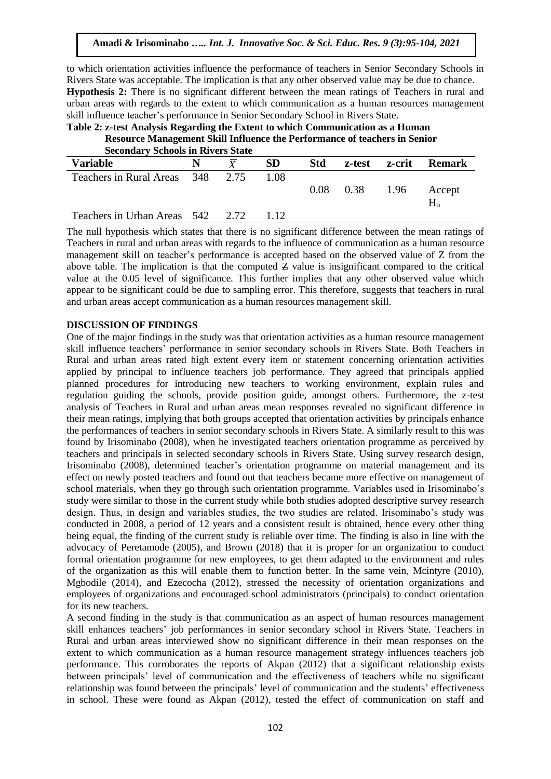to which orientation activities influence the performance of teachers in Senior Secondary Schools in Rivers State was acceptable. The implication is that any other observed value may be due to chance. **Hypothesis 2:** There is no significant different between the mean ratings of Teachers in rural and urban areas with regards to the extent to which communication as a human resources management skill influence teacher's performance in Senior Secondary School in Rivers State.

**Table 2: z-test Analysis Regarding the Extent to which Communication as a Human Resource Management Skill Influence the Performance of teachers in Senior Secondary Schools in Rivers State** 

| Secondary Schools in Kivers State |   |           |            |                      |               |               |
|-----------------------------------|---|-----------|------------|----------------------|---------------|---------------|
| <b>Variable</b>                   | N | <b>SD</b> | <b>Std</b> |                      | z-test z-crit | <b>Remark</b> |
| Teachers in Rural Areas 348 2.75  |   | 1.08      |            |                      |               |               |
|                                   |   |           |            | $0.08$ $0.38$ $1.96$ |               | Accept        |
|                                   |   |           |            |                      |               | $H_{0}$       |
| Teachers in Urban Areas 542 2.72  |   |           |            |                      |               |               |

The null hypothesis which states that there is no significant difference between the mean ratings of Teachers in rural and urban areas with regards to the influence of communication as a human resource management skill on teacher's performance is accepted based on the observed value of Z from the above table. The implication is that the computed  $Z$  value is insignificant compared to the critical value at the 0.05 level of significance. This further implies that any other observed value which appear to be significant could be due to sampling error. This therefore, suggests that teachers in rural and urban areas accept communication as a human resources management skill.

#### **DISCUSSION OF FINDINGS**

One of the major findings in the study was that orientation activities as a human resource management skill influence teachers' performance in senior secondary schools in Rivers State. Both Teachers in Rural and urban areas rated high extent every item or statement concerning orientation activities applied by principal to influence teachers job performance. They agreed that principals applied planned procedures for introducing new teachers to working environment, explain rules and regulation guiding the schools, provide position guide, amongst others. Furthermore, the z-test analysis of Teachers in Rural and urban areas mean responses revealed no significant difference in their mean ratings, implying that both groups accepted that orientation activities by principals enhance the performances of teachers in senior secondary schools in Rivers State. A similarly result to this was found by Irisominabo (2008), when he investigated teachers orientation programme as perceived by teachers and principals in selected secondary schools in Rivers State. Using survey research design, Irisominabo (2008), determined teacher's orientation programme on material management and its effect on newly posted teachers and found out that teachers became more effective on management of school materials, when they go through such orientation programme. Variables used in Irisominabo's study were similar to those in the current study while both studies adopted descriptive survey research design. Thus, in design and variables studies, the two studies are related. Irisominabo's study was conducted in 2008, a period of 12 years and a consistent result is obtained, hence every other thing being equal, the finding of the current study is reliable over time. The finding is also in line with the advocacy of Peretamode (2005), and Brown (2018) that it is proper for an organization to conduct formal orientation programme for new employees, to get them adapted to the environment and rules of the organization as this will enable them to function better. In the same vein, Mcintyre (2010), Mgbodile (2014), and Ezecocha (2012), stressed the necessity of orientation organizations and employees of organizations and encouraged school administrators (principals) to conduct orientation for its new teachers.

A second finding in the study is that communication as an aspect of human resources management skill enhances teachers' job performances in senior secondary school in Rivers State. Teachers in Rural and urban areas interviewed show no significant difference in their mean responses on the extent to which communication as a human resource management strategy influences teachers job performance. This corroborates the reports of Akpan (2012) that a significant relationship exists between principals' level of communication and the effectiveness of teachers while no significant relationship was found between the principals' level of communication and the students' effectiveness in school. These were found as Akpan (2012), tested the effect of communication on staff and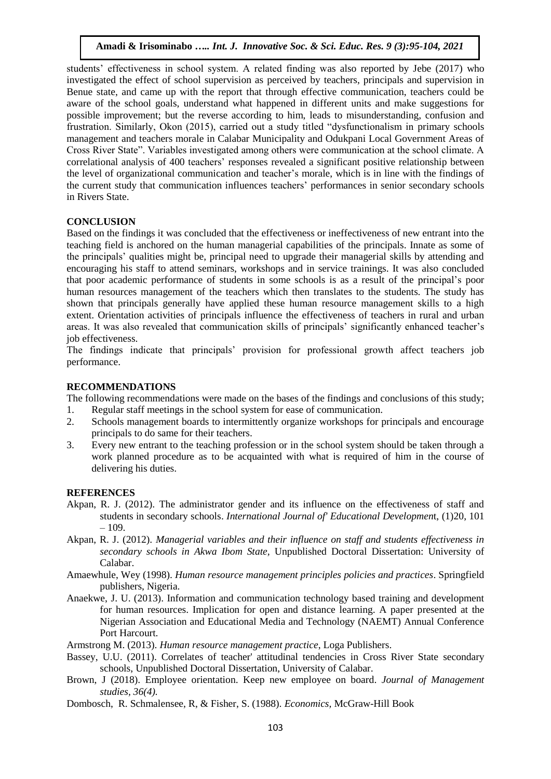students' effectiveness in school system. A related finding was also reported by Jebe (2017) who investigated the effect of school supervision as perceived by teachers, principals and supervision in Benue state, and came up with the report that through effective communication, teachers could be aware of the school goals, understand what happened in different units and make suggestions for possible improvement; but the reverse according to him, leads to misunderstanding, confusion and frustration. Similarly, Okon (2015), carried out a study titled "dysfunctionalism in primary schools management and teachers morale in Calabar Municipality and Odukpani Local Government Areas of Cross River State". Variables investigated among others were communication at the school climate. A correlational analysis of 400 teachers' responses revealed a significant positive relationship between the level of organizational communication and teacher's morale, which is in line with the findings of the current study that communication influences teachers' performances in senior secondary schools in Rivers State.

# **CONCLUSION**

Based on the findings it was concluded that the effectiveness or ineffectiveness of new entrant into the teaching field is anchored on the human managerial capabilities of the principals. Innate as some of the principals' qualities might be, principal need to upgrade their managerial skills by attending and encouraging his staff to attend seminars, workshops and in service trainings. It was also concluded that poor academic performance of students in some schools is as a result of the principal's poor human resources management of the teachers which then translates to the students. The study has shown that principals generally have applied these human resource management skills to a high extent. Orientation activities of principals influence the effectiveness of teachers in rural and urban areas. It was also revealed that communication skills of principals' significantly enhanced teacher's job effectiveness.

The findings indicate that principals' provision for professional growth affect teachers job performance.

## **RECOMMENDATIONS**

The following recommendations were made on the bases of the findings and conclusions of this study;

- 1. Regular staff meetings in the school system for ease of communication.
- 2. Schools management boards to intermittently organize workshops for principals and encourage principals to do same for their teachers.
- 3. Every new entrant to the teaching profession or in the school system should be taken through a work planned procedure as to be acquainted with what is required of him in the course of delivering his duties.

#### **REFERENCES**

- Akpan, R. J. (2012). The administrator gender and its influence on the effectiveness of staff and students in secondary schools. *International Journal of' Educational Developmen*t, (1)20, 101 – 109.
- Akpan, R. J. (2012). *Managerial variables and their influence on staff and students effectiveness in secondary schools in Akwa Ibom State,* Unpublished Doctoral Dissertation: University of Calabar.
- Amaewhule, Wey (1998). *Human resource management principles policies and practices*. Springfield publishers, Nigeria.
- Anaekwe, J. U. (2013). Information and communication technology based training and development for human resources. Implication for open and distance learning. A paper presented at the Nigerian Association and Educational Media and Technology (NAEMT) Annual Conference Port Harcourt.
- Armstrong M. (2013). *Human resource management practice*, Loga Publishers.
- Bassey, U.U. (2011). Correlates of teacher' attitudinal tendencies in Cross River State secondary schools, Unpublished Doctoral Dissertation, University of Calabar.
- Brown, J (2018). Employee orientation. Keep new employee on board. *Journal of Management studies, 36(4).*
- Dombosch, R. Schmalensee, R, & Fisher, S. (1988). *Economics,* McGraw-Hill Book